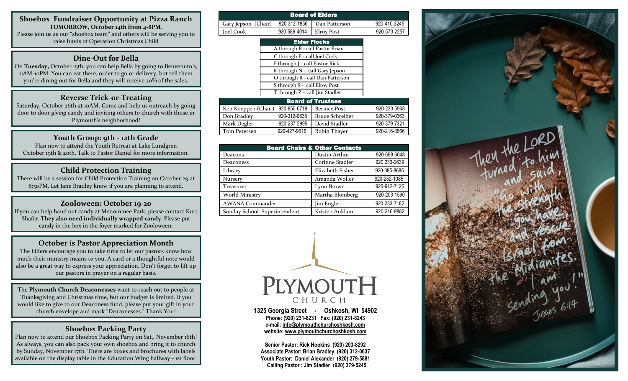**Shoebox Fundraiser Opportunity at Pizza Ranch TOMORROW, October 14th from 4-8PM**. Please join us as our "shoebox team" and others will be serving you to

raise funds of Operation Christmas Child

#### **Dine-Out for Bella**

On **Tuesday,** October 15th, you can help Bella by going to Benvenuto's, 11AM-10PM. You can eat there, order to go or delivery, but tell them you're dining out for Bella and they will receive 20% of the sales.

#### **Reverse Trick-0r-Treating**

Saturday, October 26th at 10AM. Come and help us outreach by going door to door *giving* candy and inviting others to church with those in Plymouth's neighborhood!

#### **Youth Group: 9th - 12th Grade**

Plan now to attend the Youth Retreat at Lake Lundgren October 19th & 20th. Talk to Pastor Daniel for more information.

### **Child Protection Training**

There will be a session for Child Protection Training on October 29 at 6:30PM. Let Jane Bradley know if you are planning to attend.

#### **Zooloween: October 19-20**

If you can help hand out candy at Menominee Park, please contact Kurt Shafer. **They also need individually wrapped candy**. Please put candy in the box in the foyer marked for Zooloween.

#### **October is Pastor Appreciation Month**

The Elders encourage you to take time to let our pastors know how much their ministry means to you. A card or a thoughtful note would also be a great way to express your appreciation. Don't forget to lift up our pastors in prayer on a regular basis.

The **Plymouth Church Deaconesses** want to reach out to people at Thanksgiving and Christmas time, but our budget is limited. If you would like to give to our Deaconess fund, please put your gift in your church envelope and mark "Deaconesses." Thank You!

## **Shoebox Packing Party**

Plan now to attend our Shoebox Packing Party on Sat., November 16th! As always, you can also pack your own shoebox and bring it to church by Sunday, November 17th. There are boxes and brochures with labels available on the display table in the Education Wing hallway - 1st floor.

| <b>Board of Elders</b>                          |                                 |                                  |              |
|-------------------------------------------------|---------------------------------|----------------------------------|--------------|
| Gary Jepson (Chair)                             | 920-312-1856                    | Dan Patterson                    | 920-410-3245 |
| Joel Cook                                       | 920-589-4014                    | <b>Elroy Post</b>                | 920-573-2257 |
|                                                 |                                 | <b>Elder Flocks</b>              |              |
|                                                 | A through B - call Pastor Brian |                                  |              |
|                                                 | C through E - call Joel Cook    |                                  |              |
|                                                 | F through J - call Pastor Rick  |                                  |              |
|                                                 | K through N - call Gary Jepson  |                                  |              |
|                                                 |                                 | O through R - call Dan Patterson |              |
| S through S - call Elroy Post                   |                                 |                                  |              |
|                                                 | T through Z - call Jim Stadler  |                                  |              |
| <b>Board of Trustees</b>                        |                                 |                                  |              |
| Ken Koeppen (Chair) 920-850-0719   Bernice Post |                                 |                                  | 920-233-5968 |

| Don Bradley  | 920-312-0638 | <b>Bruce Schreiber</b> | 920-379-0363 |
|--------------|--------------|------------------------|--------------|
| Mark Degler  | 920-237-2995 | David Stadler          | 920-379-7321 |
| Tom Petersen | 920-427-9616 | Robin Thayer           | 920-216-3566 |
|              |              |                        |              |

| <b>Board Chairs &amp; Other Contacts</b> |                  |              |  |
|------------------------------------------|------------------|--------------|--|
| Deacons                                  | Dustin Arthur    | 920-698-6048 |  |
| Deaconess                                | Corinne Stadler  | 920 233-2639 |  |
| Library                                  | Elizabeth Fisher | 920-385-8685 |  |
| <b>Nursery</b>                           | Amanda Woller    | 920-252-1085 |  |
| <b>Treasurer</b>                         | Lynn Brown       | 920-912-7126 |  |
| World Ministry                           | Martha Blomberg  | 920-203-1590 |  |
| <b>AWANA Commander</b>                   | Jim Engler       | 920-233-7182 |  |
| Sunday School Superintendent             | Kristen Anklam   | 920-216-9882 |  |



**1325 Georgia Street - Oshkosh, WI 54902 Phone: (920) 231-8231 Fax: (920) 231-8243 e-mail: [info@plymouthchurchoshkosh.com](mailto:info@plymouthchurchoshkosh.com)  website: [www.plymouthchurchoshkosh.com](http://www.plymouthchurchoshkosh.com/)**

**Senior Pastor: Rick Hopkins (920) 203-8292 Associate Pastor: Brian Bradley (920) 312-0637 Youth Pastor: Daniel Alexander (920) 279-5881 Calling Pastor : Jim Stadler** (**920) 379-5245** 

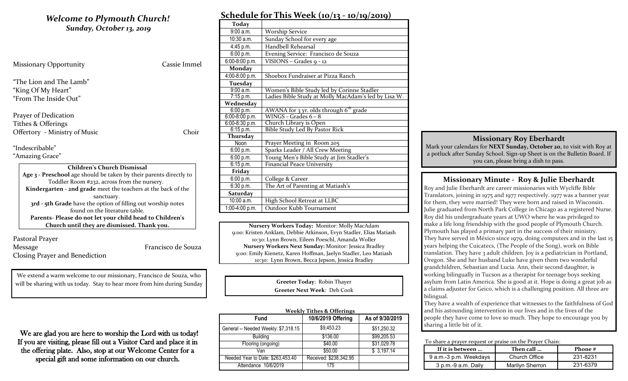## *Welcome to Plymouth Church! Sunday, October 13, 2019* Missionary Opportunity Cassie Immel "The Lion and The Lamb" "King Of My Heart" "From The Inside Out" Prayer of Dedication Tithes & Offerings Offertory - Ministry of Music Choir "Indescribable" "Amazing Grace" **Children's Church Dismissal Age 3 - Preschool** age should be taken by their parents directly to Toddler Room #232, across from the nursery. **Kindergarten - 2nd grade** meet the teachers at the back of the sanctuary.

**3rd - 5th Grade** have the option of filling out worship notes found on the literature table. **Parents- Please do not let your child head to Children's Church until they are dismissed. Thank you.**

Pastoral Prayer Message Francisco de Souza Closing Prayer and Benediction

We extend a warm welcome to our missionary, Francisco de Souza, who will be sharing with us today. Stay to hear more from him during Sunday

#### We are glad you are here to worship the Lord with us today! If you are visiting, please fill out a Visitor Card and place it in the offering plate. Also, stop at our Welcome Center for a special gift and some information on our church.

| Schedule for This Week (10/13 - 10/19/2019) |                                                      |  |
|---------------------------------------------|------------------------------------------------------|--|
| <b>Today</b>                                |                                                      |  |
| 9:00 a.m.                                   | <b>Worship Service</b>                               |  |
| 10:30 a.m.                                  | Sunday School for every age                          |  |
| 4:45 p.m.                                   | Handbell Rehearsal                                   |  |
| 6:00 p.m.                                   | Evening Service: Francisco de Souza                  |  |
| 6:00-8:00 p.m.                              | VISIONS - Grades 9 - 12                              |  |
| <b>Monday</b>                               |                                                      |  |
| 4:00-8:00 p.m.                              | Shoebox Fundraiser at Pizza Ranch                    |  |
| <b>Tuesday</b>                              |                                                      |  |
| 9:00 a.m.                                   | Women's Bible Study led by Corinne Stadler           |  |
| $\overline{7}$ :15 p.m.                     | Ladies Bible Study at Molly MacAdam's led by Lisa W. |  |
| Wednesday                                   |                                                      |  |
| 6:00 p.m.                                   | AWANA for 3 yr. olds through 6 <sup>th</sup> grade   |  |
| $6:00-8:00 p.m.$                            | WINGS - Grades $6 - 8$                               |  |
| 6:00-8:30 p.m.                              | Church Library is Open                               |  |
| 6:15 p.m.                                   | <b>Bible Study Led By Pastor Rick</b>                |  |
| Thursday                                    |                                                      |  |
| <b>Noon</b>                                 | Prayer Meeting in Room 205                           |  |
| 6:00 p.m.                                   | Sparks Leader / All Crew Meeting                     |  |
| 6:00 p.m.                                   | Young Men's Bible Study at Jim Stadler's             |  |
| 6:15 p.m.                                   | <b>Financial Peace University</b>                    |  |
| Friday                                      |                                                      |  |
| 6:00 p.m.                                   | College & Career                                     |  |
| 6:30 p.m.                                   | The Art of Parenting at Matiash's                    |  |
| Saturday                                    |                                                      |  |
| 10:00 a.m.                                  | High School Retreat at LLBC                          |  |
| 1:00-4:00 p.m.                              | Outdoor Kubb Tournament                              |  |

**Nursery Workers Today:** Monitor: Molly MacAdam 9:00: Kristen Anklam, Debbie Atkinson, Evyn Stadler, Elias Matiash 10:30: Lynn Brown, Eileen Poeschl, Amanda Woller **Nursery Workers Next Sunday:** Monitor: Jessica Bradley 9:00: Emily Kienetz, Karen Hoffman, Jaelyn Stadler, Leo Matiash 10:30: Lynn Brown, Becca Jepson, Jessica Bradley

> **Greeter Today**: Robin Thayer **Greeter Next Week**: Deb Cook

| <b>Weekly Tithes &amp; Offerings</b> |                        |                 |  |
|--------------------------------------|------------------------|-----------------|--|
| <b>Fund</b>                          | 10/6/2019 Offering     | As of 9/30/2019 |  |
| General -- Needed Weekly: \$7,318.15 | \$9,453.23             | \$51,250.32     |  |
| <b>Building</b>                      | \$136.00               | \$99,205.53     |  |
| Flooring (ongoing)                   | \$40.00                | \$31,029.78     |  |
| Van                                  | \$50.00                | \$3,197.14      |  |
| Needed Year to Date: \$263,453.40    | Received: \$238,342.95 |                 |  |
| Attendance 10/6/2019                 | 175                    |                 |  |

## **Schedule for This Week (10/13 - 10/19/2019)**

### **Missionary Roy Eberhardt**

Mark your calendars for **NEXT Sunday, October 20**, to visit with Roy at a potluck after Sunday School. Sign-up Sheet is on the Bulletin Board. If you can, please bring a dish to pass.

## **Missionary Minute - Roy & Julie Eberhardt**

Roy and Julie Eberhardt are career missionaries with Wycliffe Bible Translators, joining in 1975 and 1977 respectively. 1977 was a banner year for them, they were married! They were born and raised in Wisconsin. Julie graduated from North Park College in Chicago as a registered Nurse. Roy did his undergraduate years at UWO where he was privileged to make a life long friendship with the good people of Plymouth Church. Plymouth has played a primary part in the success of their ministry. They have served in México since 1979, doing computers and in the last 15 years helping the Cuicatecs, (The People of the Song), work on Bible translation. They have 3 adult children. Joy is a pediatrician in Portland, Oregon. She and her husband Luke have given them two wonderful grandchildren, Sebastian and Lucia. Ann, their second daughter, is working bilingually in Tucson as a therapist for teenage boys seeking asylum from Latin America. She is good at it. Hope is doing a great job as a claims adjuster for Geico, which is a challenging position. All three are bilingual.

They have a wealth of experience that witnesses to the faithfulness of God and his astounding intervention in our lives and in the lives of the people they have come to love so much. They hope to encourage you by sharing a little bit of it.

#### To share a prayer request or praise on the Prayer Chain:

| If it is between       | Then call       | Phone #  |
|------------------------|-----------------|----------|
| 9 a.m.-3 p.m. Weekdays | Church Office   | 231-8231 |
| 3 p.m.-9 a.m. Daily    | Marilyn Sherron | 231-6379 |